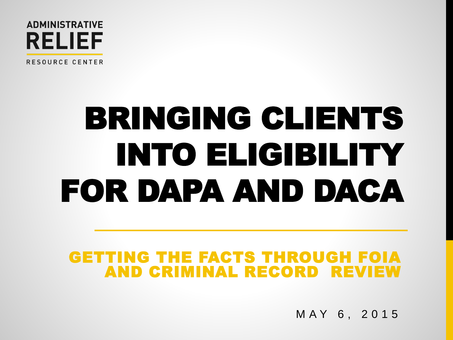

RESOURCE CENTER

# BRINGING CLIENTS INTO ELIGIBILITY FOR DAPA AND DACA

### GETTING THE FACTS THROUGH FOIA AND CRIMINAL RECORD REVIEW

M A Y 6 , 2 0 1 5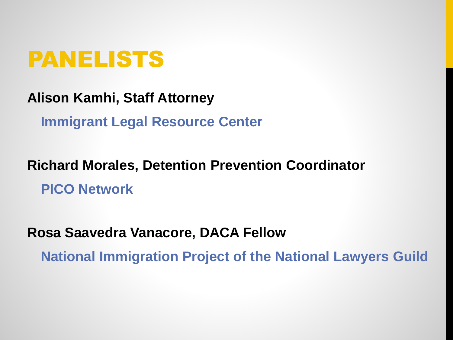

**Alison Kamhi, Staff Attorney**

**Immigrant Legal Resource Center** 

**Richard Morales, Detention Prevention Coordinator PICO Network**

**Rosa Saavedra Vanacore, DACA Fellow National Immigration Project of the National Lawyers Guild**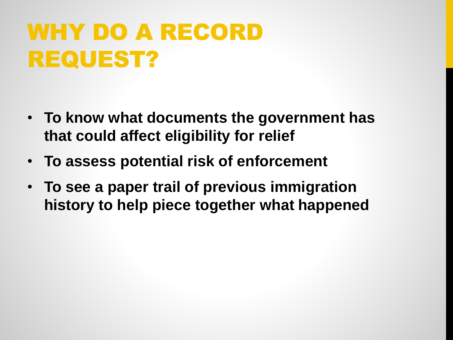## WHY DO A RECORD REQUEST?

- **To know what documents the government has that could affect eligibility for relief**
- **To assess potential risk of enforcement**
- **To see a paper trail of previous immigration history to help piece together what happened**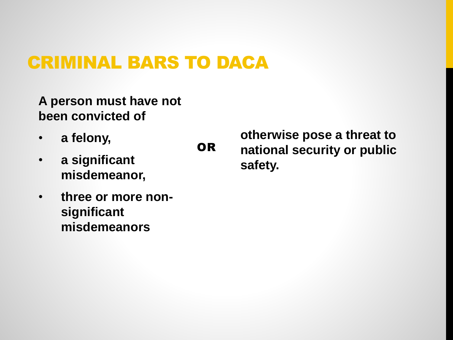### CRIMINAL BARS TO DACA

OR

**A person must have not been convicted of** 

- **a felony,**
- **a significant misdemeanor,**
- **three or more nonsignificant misdemeanors**

**otherwise pose a threat to national security or public safety.**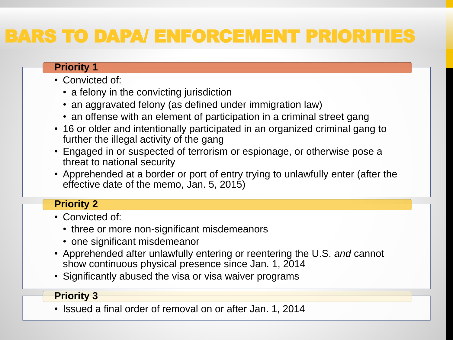### BARS TO DAPA/ ENFORCEMENT PRIORITIES

#### **Priority 1**

- Convicted of:
	- a felony in the convicting jurisdiction
	- an aggravated felony (as defined under immigration law)
	- an offense with an element of participation in a criminal street gang
- 16 or older and intentionally participated in an organized criminal gang to further the illegal activity of the gang
- Engaged in or suspected of terrorism or espionage, or otherwise pose a threat to national security
- Apprehended at a border or port of entry trying to unlawfully enter (after the effective date of the memo, Jan. 5, 2015)

#### **Priority 2**

- Convicted of:
	- three or more non-significant misdemeanors
	- one significant misdemeanor
- Apprehended after unlawfully entering or reentering the U.S. *and* cannot show continuous physical presence since Jan. 1, 2014
- Significantly abused the visa or visa waiver programs

#### **Priority 3**

• Issued a final order of removal on or after Jan. 1, 2014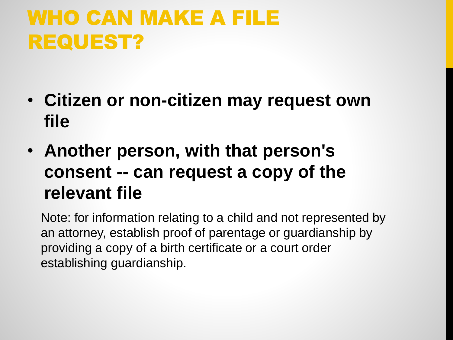### WHO CAN MAKE A FILE REQUEST?

- **Citizen or non-citizen may request own file**
- **Another person, with that person's consent -- can request a copy of the relevant file**

Note: for information relating to a child and not represented by an attorney, establish proof of parentage or guardianship by providing a copy of a birth certificate or a court order establishing guardianship.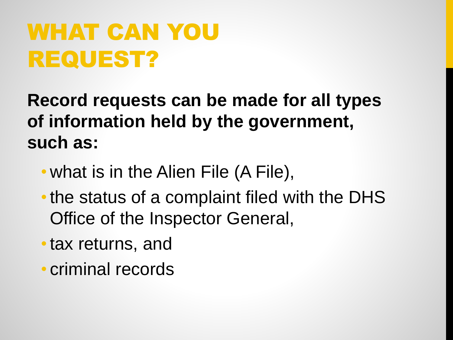## WHAT CAN YOU REQUEST?

**Record requests can be made for all types of information held by the government, such as:** 

- what is in the Alien File (A File),
- the status of a complaint filed with the DHS Office of the Inspector General,
- •tax returns, and
- criminal records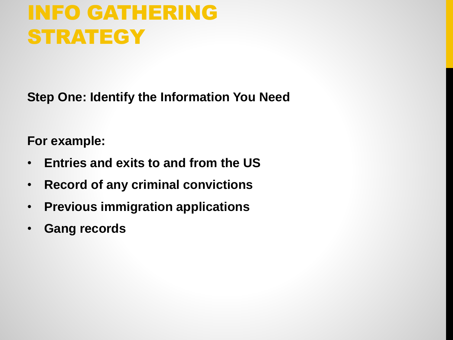### INFO GATHERING **STRATEGY**

**Step One: Identify the Information You Need**

**For example:**

- **Entries and exits to and from the US**
- **Record of any criminal convictions**
- **Previous immigration applications**
- **Gang records**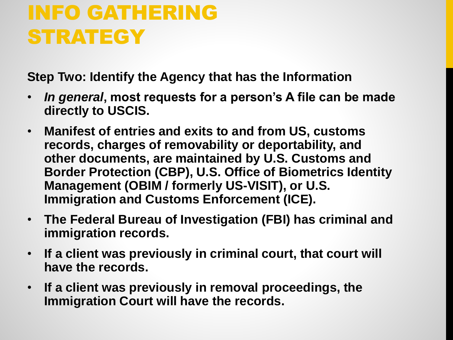### INFO GATHERING **STRATEGY**

**Step Two: Identify the Agency that has the Information**

- *In general***, most requests for a person's A file can be made directly to USCIS.**
- **Manifest of entries and exits to and from US, customs records, charges of removability or deportability, and other documents, are maintained by U.S. Customs and Border Protection (CBP), U.S. Office of Biometrics Identity Management (OBIM / formerly US-VISIT), or U.S. Immigration and Customs Enforcement (ICE).**
- **The Federal Bureau of Investigation (FBI) has criminal and immigration records.**
- **If a client was previously in criminal court, that court will have the records.**
- **If a client was previously in removal proceedings, the Immigration Court will have the records.**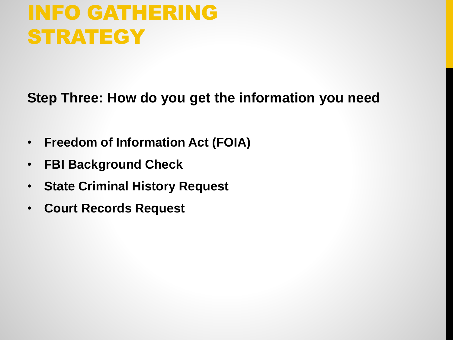### INFO GATHERING **STRATEGY**

**Step Three: How do you get the information you need**

- **Freedom of Information Act (FOIA)**
- **FBI Background Check**
- **State Criminal History Request**
- **Court Records Request**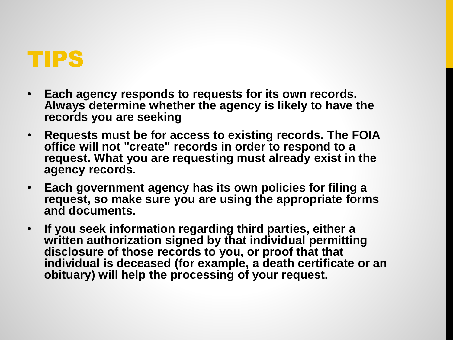

- **Each agency responds to requests for its own records. Always determine whether the agency is likely to have the records you are seeking**
- **Requests must be for access to existing records. The FOIA office will not "create" records in order to respond to a request. What you are requesting must already exist in the agency records.**
- **Each government agency has its own policies for filing a request, so make sure you are using the appropriate forms and documents.**
- **If you seek information regarding third parties, either a**  written authorization signed by that individual permitting **disclosure of those records to you, or proof that that individual is deceased (for example, a death certificate or an obituary) will help the processing of your request.**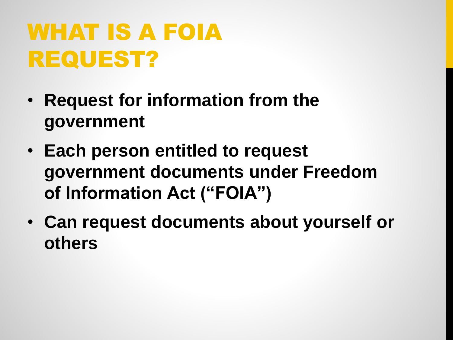## WHAT IS A FOIA REQUEST?

- **Request for information from the government**
- **Each person entitled to request government documents under Freedom of Information Act ("FOIA")**
- **Can request documents about yourself or others**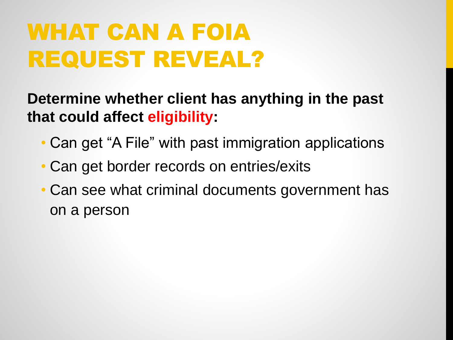## WHAT CAN A FOIA REQUEST REVEAL?

**Determine whether client has anything in the past that could affect eligibility:**

- Can get "A File" with past immigration applications
- Can get border records on entries/exits
- Can see what criminal documents government has on a person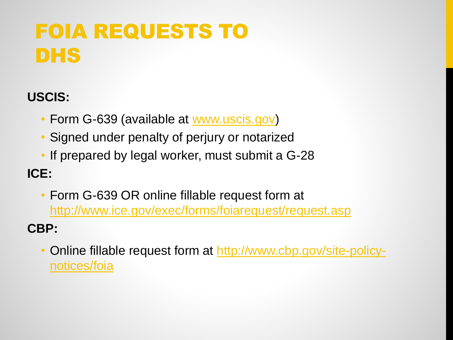### FOIA REQUESTS TO DHS

### **USCIS:**

- Form G-639 (available at [www.uscis.gov](http://www.uscis.gov))
- Signed under penalty of perjury or notarized
- If prepared by legal worker, must submit a G-28

### **ICE:**

• Form G-639 OR online fillable request form at <http://www.ice.gov/exec/forms/foiarequest/request.asp>

### **CBP:**

• [Online fillable request form at http://www.cbp.gov/site-policy](http://www.cbp.gov/site-policy-notices/foia)notices/foia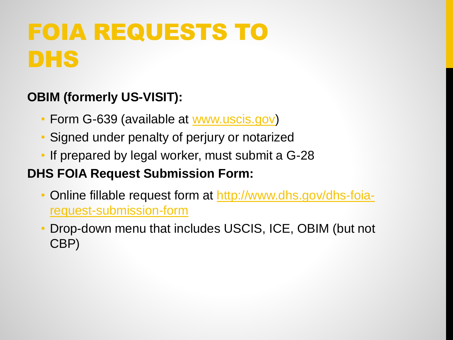## FOIA REQUESTS TO DHS

### **OBIM (formerly US-VISIT):**

- Form G-639 (available at [www.uscis.gov](http://www.uscis.gov))
- Signed under penalty of perjury or notarized
- If prepared by legal worker, must submit a G-28

### **DHS FOIA Request Submission Form:**

- [Online fillable request form at](http://www.dhs.gov/dhs-foia-request-submission-form) http://www.dhs.gov/dhs-foiarequest-submission-form
- Drop-down menu that includes USCIS, ICE, OBIM (but not CBP)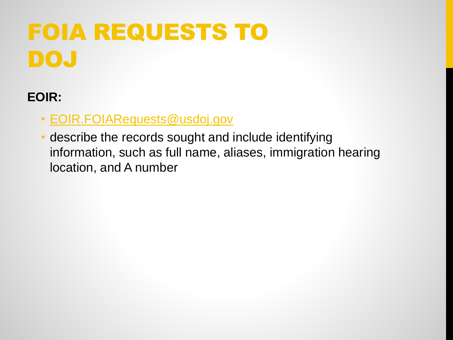## FOIA REQUESTS TO DOJ

### **EOIR:**

- [EOIR.FOIARequests@usdoj.gov](mailto:EOIR.FOIARequests@usdoj.gov)
- describe the records sought and include identifying information, such as full name, aliases, immigration hearing location, and A number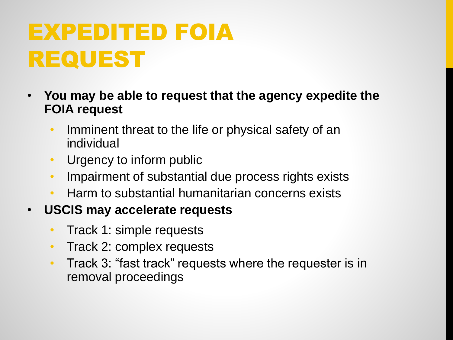## EXPEDITED FOIA REQUEST

- **You may be able to request that the agency expedite the FOIA request**
	- Imminent threat to the life or physical safety of an individual
	- Urgency to inform public
	- Impairment of substantial due process rights exists
	- Harm to substantial humanitarian concerns exists
- **USCIS may accelerate requests**
	- Track 1: simple requests
	- Track 2: complex requests
	- Track 3: "fast track" requests where the requester is in removal proceedings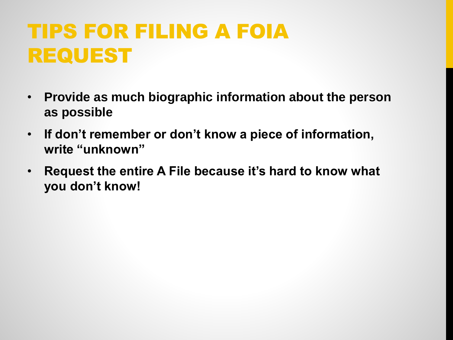### TIPS FOR FILING A FOIA REQUEST

- **Provide as much biographic information about the person as possible**
- **If don't remember or don't know a piece of information, write "unknown"**
- **Request the entire A File because it's hard to know what you don't know!**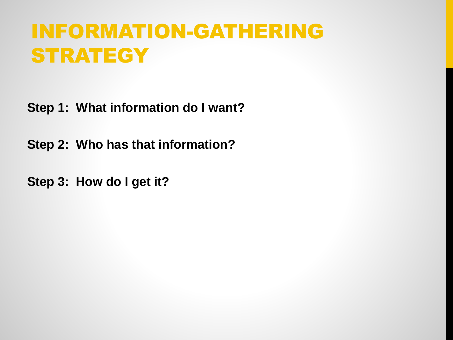### INFORMATION-GATHERING **STRATEGY**

**Step 1: What information do I want?**

**Step 2: Who has that information?**

**Step 3: How do I get it?**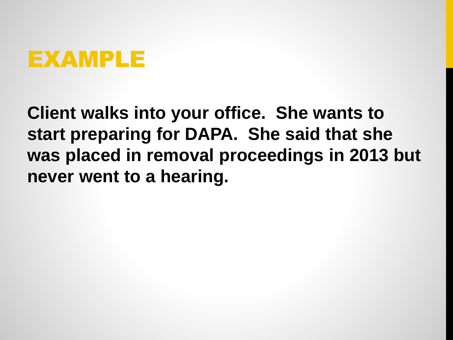

**Client walks into your office. She wants to start preparing for DAPA. She said that she was placed in removal proceedings in 2013 but never went to a hearing.**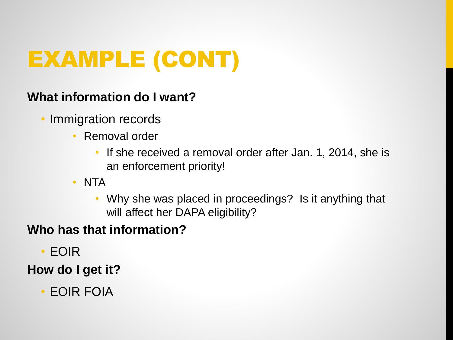## EXAMPLE (CONT)

### **What information do I want?**

- Immigration records
	- Removal order
		- If she received a removal order after Jan. 1, 2014, she is an enforcement priority!
	- NTA
		- Why she was placed in proceedings? Is it anything that will affect her DAPA eligibility?

### **Who has that information?**

• EOIR

### **How do I get it?**

• EOIR FOIA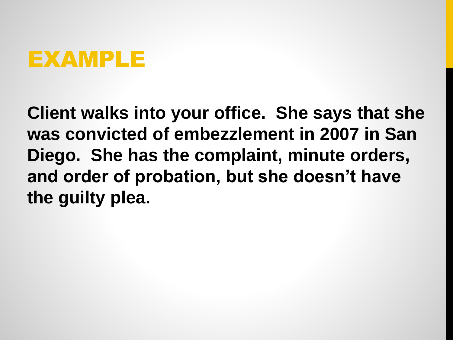### EXAMPLE

**Client walks into your office. She says that she was convicted of embezzlement in 2007 in San Diego. She has the complaint, minute orders, and order of probation, but she doesn't have the guilty plea.**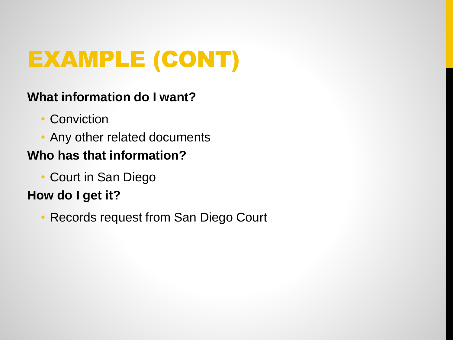## EXAMPLE (CONT)

### **What information do I want?**

- Conviction
- Any other related documents **Who has that information?**
	- - Court in San Diego

### **How do I get it?**

• Records request from San Diego Court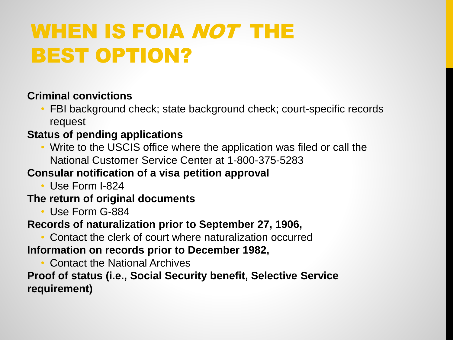### WHEN IS FOIA NOT THE BEST OPTION?

#### **Criminal convictions**

• FBI background check; state background check; court-specific records request

#### **Status of pending applications**

• Write to the USCIS office where the application was filed or call the National Customer Service Center at 1-800-375-5283

#### **Consular notification of a visa petition approval**

• Use Form I-824

#### **The return of original documents**

• Use Form G-884

#### **Records of naturalization prior to September 27, 1906,**

• Contact the clerk of court where naturalization occurred

#### **Information on records prior to December 1982,**

• Contact the National Archives

#### **Proof of status (i.e., Social Security benefit, Selective Service requirement)**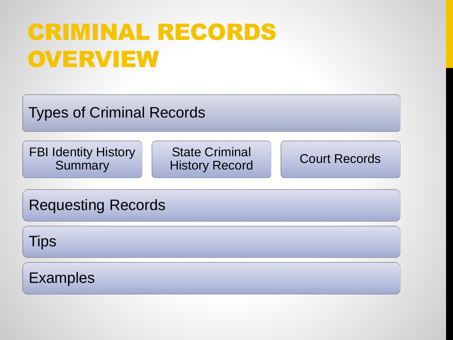## CRIMINAL RECORDS **OVERVIEW**

Types of Criminal Records

FBI Identity History **Summary** 

State Criminal History Record **Court Records** 

Requesting Records

**Tips** 

Examples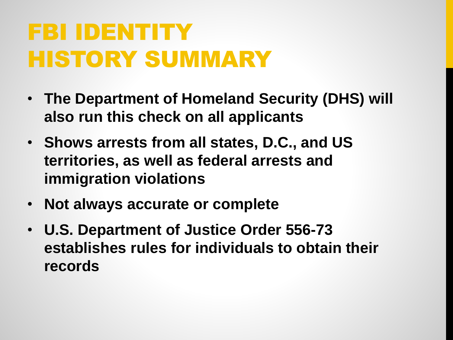## FBI IDENTITY HISTORY SUMMARY

- **The Department of Homeland Security (DHS) will also run this check on all applicants**
- **Shows arrests from all states, D.C., and US territories, as well as federal arrests and immigration violations**
- **Not always accurate or complete**
- **U.S. Department of Justice Order 556-73 establishes rules for individuals to obtain their records**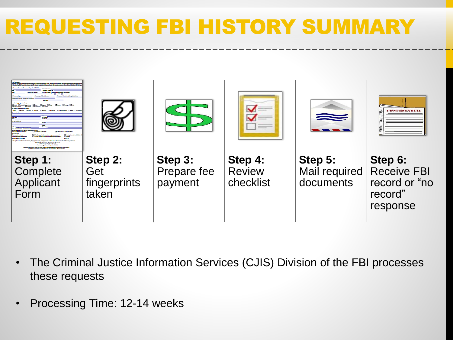### REQUESTING FBI HISTORY SUMMARY



- The Criminal Justice Information Services (CJIS) Division of the FBI processes these requests
- Processing Time: 12-14 weeks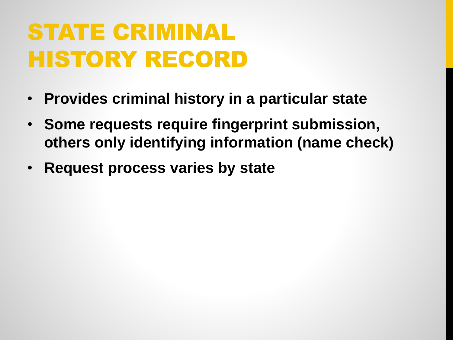## STATE CRIMINAL HISTORY RECORD

- **Provides criminal history in a particular state**
- **Some requests require fingerprint submission, others only identifying information (name check)**
- **Request process varies by state**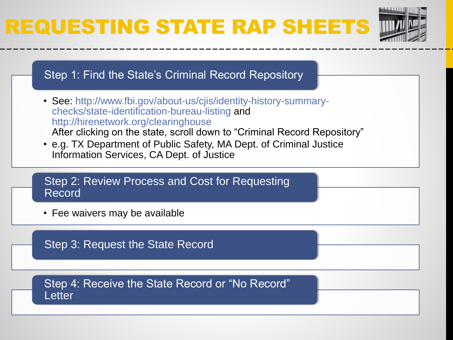## REQUESTING STATE RAP SHEETS





Step 3: Request the State Record

Step 4: Receive the State Record or "No Record" **Letter**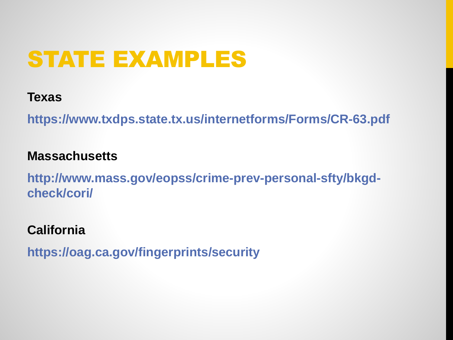## STATE EXAMPLES

### **Texas**

**https://www.txdps.state.tx.us/internetforms/Forms/CR-63.pdf**

### **Massachusetts**

**http://www.mass.gov/eopss/crime-prev-personal-sfty/bkgdcheck/cori/**

### **California**

**https://oag.ca.gov/fingerprints/security**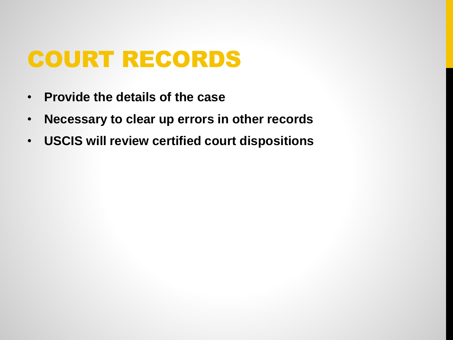## COURT RECORDS

- **Provide the details of the case**
- **Necessary to clear up errors in other records**
- **USCIS will review certified court dispositions**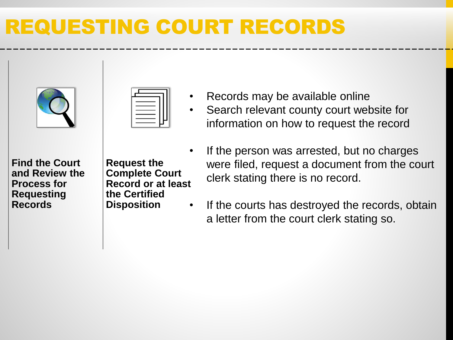### REQUESTING COURT RECORDS



- Records may be available online
- Search relevant county court website for information on how to request the record

**Find the Court and Review the Process for Requesting Records**

**Request the Complete Court Record or at least the Certified Disposition**

- If the person was arrested, but no charges were filed, request a document from the court clerk stating there is no record.
- If the courts has destroyed the records, obtain a letter from the court clerk stating so.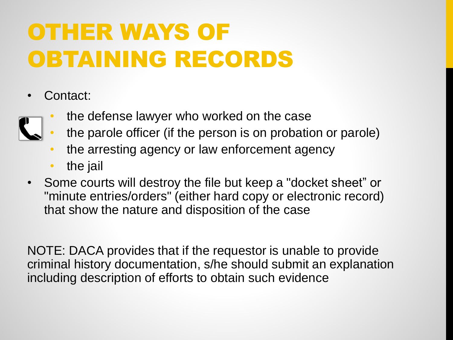## OTHER WAYS OF OBTAINING RECORDS

- Contact:
	- the defense lawyer who worked on the case
	- the parole officer (if the person is on probation or parole)
	- the arresting agency or law enforcement agency
	- the jail
- Some courts will destroy the file but keep a "docket sheet" or "minute entries/orders" (either hard copy or electronic record) that show the nature and disposition of the case

NOTE: DACA provides that if the requestor is unable to provide criminal history documentation, s/he should submit an explanation including description of efforts to obtain such evidence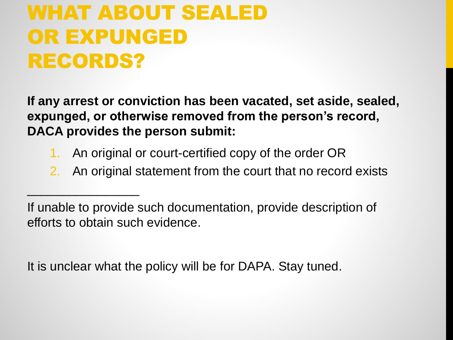### WHAT ABOUT SEALED OR EXPUNGED RECORDS?

 $\Box$ 

**If any arrest or conviction has been vacated, set aside, sealed, expunged, or otherwise removed from the person's record, DACA provides the person submit:**

- 1. An original or court-certified copy of the order OR
- 2. An original statement from the court that no record exists

It is unclear what the policy will be for DAPA. Stay tuned.

If unable to provide such documentation, provide description of efforts to obtain such evidence.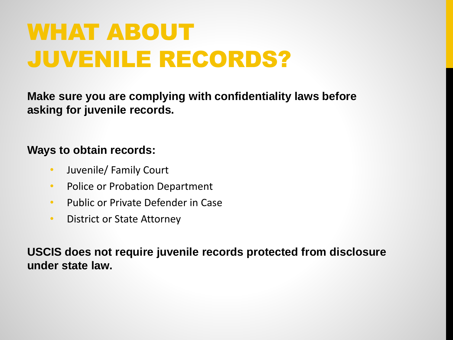## WHAT ABOUT JUVENILE RECORDS?

**Make sure you are complying with confidentiality laws before asking for juvenile records.**

#### **Ways to obtain records:**

- Juvenile/ Family Court
- Police or Probation Department
- Public or Private Defender in Case
- District or State Attorney

**USCIS does not require juvenile records protected from disclosure under state law.**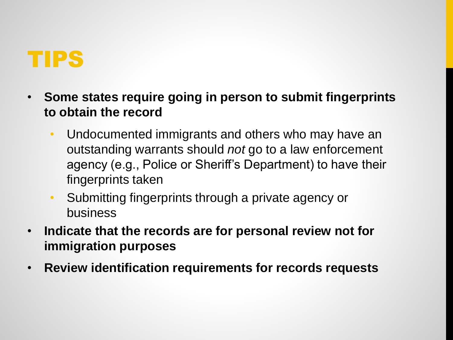

- **Some states require going in person to submit fingerprints to obtain the record**
	- Undocumented immigrants and others who may have an outstanding warrants should *not* go to a law enforcement agency (e.g., Police or Sheriff's Department) to have their fingerprints taken
	- Submitting fingerprints through a private agency or business
- **Indicate that the records are for personal review not for immigration purposes**
- **Review identification requirements for records requests**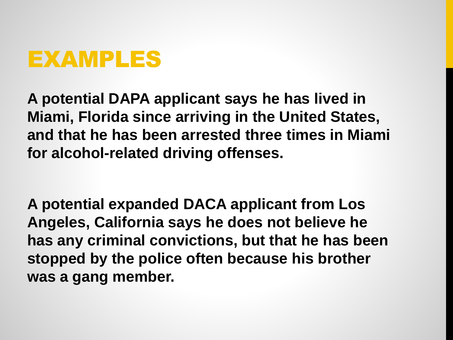

**A potential DAPA applicant says he has lived in Miami, Florida since arriving in the United States, and that he has been arrested three times in Miami for alcohol-related driving offenses.** 

**A potential expanded DACA applicant from Los Angeles, California says he does not believe he has any criminal convictions, but that he has been stopped by the police often because his brother was a gang member.**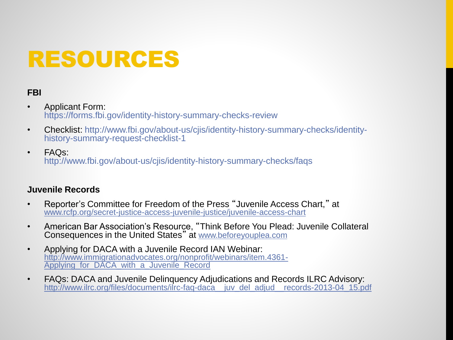## RESOURCES

#### **FBI**

- Applicant Form: https://forms.fbi.gov/identity-history-summary-checks-review
- Checklist: http://www.fbi.gov/about-us/cjis/identity-history-summary-checks/identityhistory-summary-request-checklist-1
- FAQs: http://www.fbi.gov/about-us/cjis/identity-history-summary-checks/faqs

#### **Juvenile Records**

- Reporter's Committee for Freedom of the Press "Juvenile Access Chart," at www.rcfp.org/secret-justice-access-juvenile-justice/juvenile-access-chart
- American Bar Association's Resource, "Think Before You Plead: Juvenile Collateral Consequences in the United States" at www.beforeyouplea.com
- Applying for DACA with a Juvenile Record IAN Webinar: http://www.immigrationadvocates.org/nonprofit/webinars/item.4361- Applying\_for\_DACA\_with\_a\_Juvenile\_Record
- FAQs: DACA and Juvenile Delinquency Adjudications and Records ILRC Advisory: http://www.ilrc.org/files/documents/ilrc-faq-daca\_\_juv\_del\_adjud\_\_records-2013-04\_15.pdf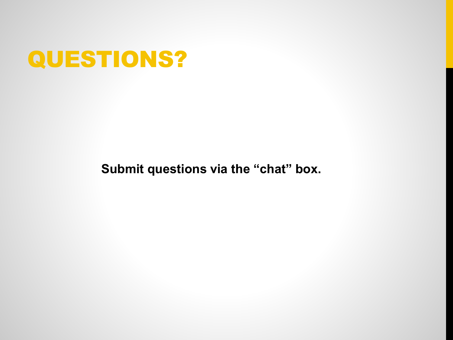

**Submit questions via the "chat" box.**